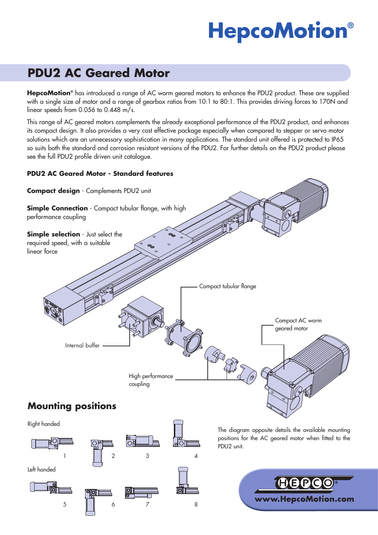# **HepcoMotion®**

# **PDU2 AC Geared Motor**

**HepcoMotion®** has introduced a range of AC worm geared motors to enhance the PDU2 product. These are supplied with a single size of motor and a range of gearbox ratios from 10:1 to 80:1. This provides driving forces to 170N and linear speeds from 0.056 to 0.448 m/s.

This range of AC geared motors complements the already exceptional performance of the PDU2 product, and enhances its compact design. It also provides a very cost effective package especially when compared to stepper or servo motor solutions which are an unnecessary sophistication in many applications. The standard unit offered is protected to IP65 so suits both the standard and corrosion resistant versions of the PDU2. For further details on the PDU2 product please see the full PDU2 profile driven unit catalogue.

#### **PDU2 AC Geared Motor - Standard features**